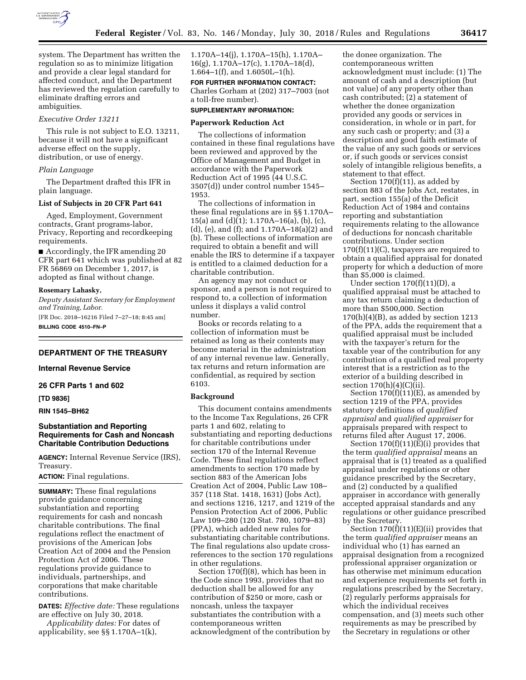

system. The Department has written the regulation so as to minimize litigation and provide a clear legal standard for affected conduct, and the Department has reviewed the regulation carefully to eliminate drafting errors and ambiguities.

## *Executive Order 13211*

This rule is not subject to E.O. 13211, because it will not have a significant adverse effect on the supply, distribution, or use of energy.

### *Plain Language*

The Department drafted this IFR in plain language.

#### **List of Subjects in 20 CFR Part 641**

Aged, Employment, Government contracts, Grant programs-labor, Privacy, Reporting and recordkeeping requirements.

■ Accordingly, the IFR amending 20 CFR part 641 which was published at 82 FR 56869 on December 1, 2017, is adopted as final without change.

#### **Rosemary Lahasky,**

*Deputy Assistant Secretary for Employment and Training, Labor.* 

[FR Doc. 2018–16216 Filed 7–27–18; 8:45 am] **BILLING CODE 4510–FN–P** 

## **DEPARTMENT OF THE TREASURY**

### **Internal Revenue Service**

**26 CFR Parts 1 and 602** 

#### **[TD 9836]**

## **RIN 1545–BH62**

## **Substantiation and Reporting Requirements for Cash and Noncash Charitable Contribution Deductions**

**AGENCY:** Internal Revenue Service (IRS), Treasury.

## **ACTION:** Final regulations.

**SUMMARY:** These final regulations provide guidance concerning substantiation and reporting requirements for cash and noncash charitable contributions. The final regulations reflect the enactment of provisions of the American Jobs Creation Act of 2004 and the Pension Protection Act of 2006. These regulations provide guidance to individuals, partnerships, and corporations that make charitable contributions.

**DATES:** *Effective date:* These regulations are effective on July 30, 2018.

*Applicability dates:* For dates of applicability, see §§ 1.170A–1(k),

1.170A–14(j), 1.170A–15(h), 1.170A– 16(g), 1.170A–17(c), 1.170A–18(d), 1.664–1(f), and 1.6050L–1(h).

**FOR FURTHER INFORMATION CONTACT:**  Charles Gorham at (202) 317–7003 (not a toll-free number).

#### **SUPPLEMENTARY INFORMATION:**

#### **Paperwork Reduction Act**

The collections of information contained in these final regulations have been reviewed and approved by the Office of Management and Budget in accordance with the Paperwork Reduction Act of 1995 (44 U.S.C. 3507(d)) under control number 1545– 1953.

The collections of information in these final regulations are in §§ 1.170A– 15(a) and (d)(1); 1.170A–16(a), (b), (c), (d), (e), and (f); and 1.170A–18(a)(2) and (b). These collections of information are required to obtain a benefit and will enable the IRS to determine if a taxpayer is entitled to a claimed deduction for a charitable contribution.

An agency may not conduct or sponsor, and a person is not required to respond to, a collection of information unless it displays a valid control number.

Books or records relating to a collection of information must be retained as long as their contents may become material in the administration of any internal revenue law. Generally, tax returns and return information are confidential, as required by section 6103.

#### **Background**

This document contains amendments to the Income Tax Regulations, 26 CFR parts 1 and 602, relating to substantiating and reporting deductions for charitable contributions under section 170 of the Internal Revenue Code. These final regulations reflect amendments to section 170 made by section 883 of the American Jobs Creation Act of 2004, Public Law 108– 357 (118 Stat. 1418, 1631) (Jobs Act), and sections 1216, 1217, and 1219 of the Pension Protection Act of 2006, Public Law 109–280 (120 Stat. 780, 1079–83) (PPA), which added new rules for substantiating charitable contributions. The final regulations also update crossreferences to the section 170 regulations in other regulations.

Section 170(f)(8), which has been in the Code since 1993, provides that no deduction shall be allowed for any contribution of \$250 or more, cash or noncash, unless the taxpayer substantiates the contribution with a contemporaneous written acknowledgment of the contribution by

the donee organization. The contemporaneous written acknowledgment must include: (1) The amount of cash and a description (but not value) of any property other than cash contributed; (2) a statement of whether the donee organization provided any goods or services in consideration, in whole or in part, for any such cash or property; and (3) a description and good faith estimate of the value of any such goods or services or, if such goods or services consist solely of intangible religious benefits, a statement to that effect.

Section 170(f)(11), as added by section 883 of the Jobs Act, restates, in part, section 155(a) of the Deficit Reduction Act of 1984 and contains reporting and substantiation requirements relating to the allowance of deductions for noncash charitable contributions. Under section 170(f)(11)(C), taxpayers are required to obtain a qualified appraisal for donated property for which a deduction of more than \$5,000 is claimed.

Under section  $170(f)(11)(D)$ , a qualified appraisal must be attached to any tax return claiming a deduction of more than \$500,000. Section  $170(h)(4)(B)$ , as added by section 1213 of the PPA, adds the requirement that a qualified appraisal must be included with the taxpayer's return for the taxable year of the contribution for any contribution of a qualified real property interest that is a restriction as to the exterior of a building described in section  $170(h)(4)(C)(ii)$ .

Section  $170(f)(11)(E)$ , as amended by section 1219 of the PPA, provides statutory definitions of *qualified appraisal* and *qualified appraiser* for appraisals prepared with respect to returns filed after August 17, 2006.

Section  $170(f)(11)(E)(i)$  provides that the term *qualified appraisal* means an appraisal that is (1) treated as a qualified appraisal under regulations or other guidance prescribed by the Secretary, and (2) conducted by a qualified appraiser in accordance with generally accepted appraisal standards and any regulations or other guidance prescribed by the Secretary.

Section  $170(f)(11)(E)(ii)$  provides that the term *qualified appraiser* means an individual who (1) has earned an appraisal designation from a recognized professional appraiser organization or has otherwise met minimum education and experience requirements set forth in regulations prescribed by the Secretary, (2) regularly performs appraisals for which the individual receives compensation, and (3) meets such other requirements as may be prescribed by the Secretary in regulations or other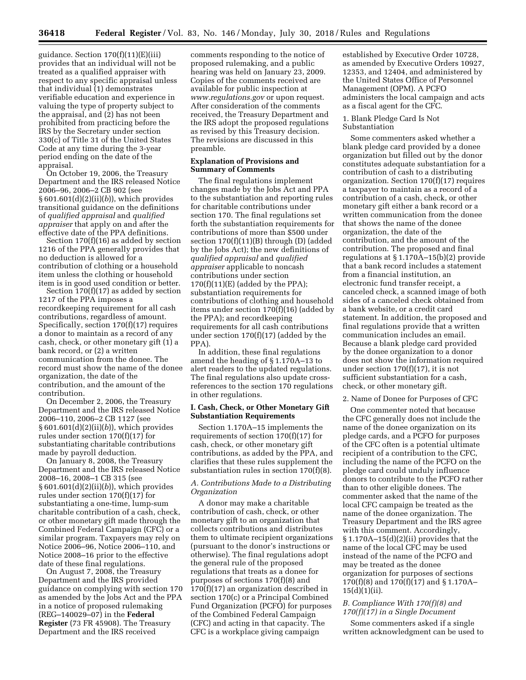guidance. Section 170(f)(11)(E)(iii) provides that an individual will not be treated as a qualified appraiser with respect to any specific appraisal unless that individual (1) demonstrates verifiable education and experience in valuing the type of property subject to the appraisal, and (2) has not been prohibited from practicing before the IRS by the Secretary under section 330(c) of Title 31 of the United States Code at any time during the 3-year period ending on the date of the appraisal.

On October 19, 2006, the Treasury Department and the IRS released Notice 2006–96, 2006–2 CB 902 (see § 601.601(d)(2)(ii)(*b*)), which provides transitional guidance on the definitions of *qualified appraisal* and *qualified appraiser* that apply on and after the effective date of the PPA definitions.

Section 170(f)(16) as added by section 1216 of the PPA generally provides that no deduction is allowed for a contribution of clothing or a household item unless the clothing or household item is in good used condition or better.

Section 170(f)(17) as added by section 1217 of the PPA imposes a recordkeeping requirement for all cash contributions, regardless of amount. Specifically, section 170(f)(17) requires a donor to maintain as a record of any cash, check, or other monetary gift (1) a bank record, or (2) a written communication from the donee. The record must show the name of the donee organization, the date of the contribution, and the amount of the contribution.

On December 2, 2006, the Treasury Department and the IRS released Notice 2006–110, 2006–2 CB 1127 (see § 601.601(d)(2)(ii)(*b*)), which provides rules under section 170(f)(17) for substantiating charitable contributions made by payroll deduction.

On January 8, 2008, the Treasury Department and the IRS released Notice 2008–16, 2008–1 CB 315 (see § 601.601(d)(2)(ii)(*b*)), which provides rules under section 170(f)(17) for substantiating a one-time, lump-sum charitable contribution of a cash, check, or other monetary gift made through the Combined Federal Campaign (CFC) or a similar program. Taxpayers may rely on Notice 2006–96, Notice 2006–110, and Notice 2008–16 prior to the effective date of these final regulations.

On August 7, 2008, the Treasury Department and the IRS provided guidance on complying with section 170 as amended by the Jobs Act and the PPA in a notice of proposed rulemaking (REG–140029–07) in the **Federal Register** (73 FR 45908). The Treasury Department and the IRS received

comments responding to the notice of proposed rulemaking, and a public hearing was held on January 23, 2009. Copies of the comments received are available for public inspection at *[www.regulations.gov](http://www.regulations.gov)* or upon request. After consideration of the comments received, the Treasury Department and the IRS adopt the proposed regulations as revised by this Treasury decision. The revisions are discussed in this preamble.

### **Explanation of Provisions and Summary of Comments**

The final regulations implement changes made by the Jobs Act and PPA to the substantiation and reporting rules for charitable contributions under section 170. The final regulations set forth the substantiation requirements for contributions of more than \$500 under section 170(f)(11)(B) through (D) (added by the Jobs Act); the new definitions of *qualified appraisal* and *qualified appraiser* applicable to noncash contributions under section  $170(f)(11)(E)$  (added by the PPA); substantiation requirements for contributions of clothing and household items under section 170(f)(16) (added by the PPA); and recordkeeping requirements for all cash contributions under section 170(f)(17) (added by the PPA).

In addition, these final regulations amend the heading of § 1.170A–13 to alert readers to the updated regulations. The final regulations also update crossreferences to the section 170 regulations in other regulations.

### **I. Cash, Check, or Other Monetary Gift Substantiation Requirements**

Section 1.170A–15 implements the requirements of section 170(f)(17) for cash, check, or other monetary gift contributions, as added by the PPA, and clarifies that these rules supplement the substantiation rules in section 170(f)(8).

## *A. Contributions Made to a Distributing Organization*

A donor may make a charitable contribution of cash, check, or other monetary gift to an organization that collects contributions and distributes them to ultimate recipient organizations (pursuant to the donor's instructions or otherwise). The final regulations adopt the general rule of the proposed regulations that treats as a donee for purposes of sections 170(f)(8) and 170(f)(17) an organization described in section 170(c) or a Principal Combined Fund Organization (PCFO) for purposes of the Combined Federal Campaign (CFC) and acting in that capacity. The CFC is a workplace giving campaign

established by Executive Order 10728, as amended by Executive Orders 10927, 12353, and 12404, and administered by the United States Office of Personnel Management (OPM). A PCFO administers the local campaign and acts as a fiscal agent for the CFC.

#### 1. Blank Pledge Card Is Not Substantiation

Some commenters asked whether a blank pledge card provided by a donee organization but filled out by the donor constitutes adequate substantiation for a contribution of cash to a distributing organization. Section 170(f)(17) requires a taxpayer to maintain as a record of a contribution of a cash, check, or other monetary gift either a bank record or a written communication from the donee that shows the name of the donee organization, the date of the contribution, and the amount of the contribution. The proposed and final regulations at § 1.170A–15(b)(2) provide that a bank record includes a statement from a financial institution, an electronic fund transfer receipt, a canceled check, a scanned image of both sides of a canceled check obtained from a bank website, or a credit card statement. In addition, the proposed and final regulations provide that a written communication includes an email. Because a blank pledge card provided by the donee organization to a donor does not show the information required under section 170(f)(17), it is not sufficient substantiation for a cash, check, or other monetary gift.

#### 2. Name of Donee for Purposes of CFC

One commenter noted that because the CFC generally does not include the name of the donee organization on its pledge cards, and a PCFO for purposes of the CFC often is a potential ultimate recipient of a contribution to the CFC, including the name of the PCFO on the pledge card could unduly influence donors to contribute to the PCFO rather than to other eligible donees. The commenter asked that the name of the local CFC campaign be treated as the name of the donee organization. The Treasury Department and the IRS agree with this comment. Accordingly,  $§ 1.170A-15(d)(2)(ii)$  provides that the name of the local CFC may be used instead of the name of the PCFO and may be treated as the donee organization for purposes of sections 170(f)(8) and 170(f)(17) and § 1.170A–  $15(d)(1)(ii)$ .

# *B. Compliance With 170(f)(8) and 170(f)(17) in a Single Document*

Some commenters asked if a single written acknowledgment can be used to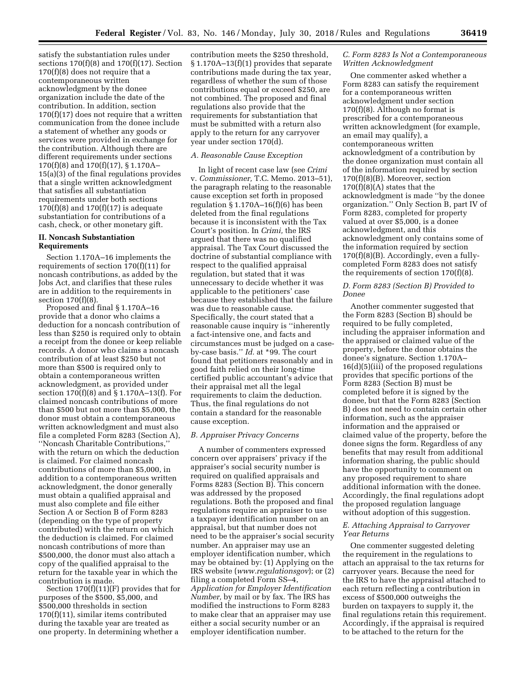satisfy the substantiation rules under sections  $170(f)(8)$  and  $170(f)(17)$ . Section 170(f)(8) does not require that a contemporaneous written acknowledgment by the donee organization include the date of the contribution. In addition, section 170(f)(17) does not require that a written communication from the donee include a statement of whether any goods or services were provided in exchange for the contribution. Although there are different requirements under sections 170(f)(8) and 170(f)(17), § 1.170A– 15(a)(3) of the final regulations provides that a single written acknowledgment that satisfies all substantiation requirements under both sections  $170(f)(8)$  and  $170(f)(17)$  is adequate substantiation for contributions of a cash, check, or other monetary gift.

### **II. Noncash Substantiation Requirements**

Section 1.170A–16 implements the requirements of section 170(f)(11) for noncash contributions, as added by the Jobs Act, and clarifies that these rules are in addition to the requirements in section 170(f)(8).

Proposed and final § 1.170A–16 provide that a donor who claims a deduction for a noncash contribution of less than \$250 is required only to obtain a receipt from the donee or keep reliable records. A donor who claims a noncash contribution of at least \$250 but not more than \$500 is required only to obtain a contemporaneous written acknowledgment, as provided under section 170(f)(8) and § 1.170A–13(f). For claimed noncash contributions of more than \$500 but not more than \$5,000, the donor must obtain a contemporaneous written acknowledgment and must also file a completed Form 8283 (Section A), ''Noncash Charitable Contributions,'' with the return on which the deduction is claimed. For claimed noncash contributions of more than \$5,000, in addition to a contemporaneous written acknowledgment, the donor generally must obtain a qualified appraisal and must also complete and file either Section A or Section B of Form 8283 (depending on the type of property contributed) with the return on which the deduction is claimed. For claimed noncash contributions of more than \$500,000, the donor must also attach a copy of the qualified appraisal to the return for the taxable year in which the contribution is made.

Section 170(f)(11)(F) provides that for purposes of the \$500, \$5,000, and \$500,000 thresholds in section 170(f)(11), similar items contributed during the taxable year are treated as one property. In determining whether a

contribution meets the \$250 threshold, § 1.170A–13(f)(1) provides that separate contributions made during the tax year, regardless of whether the sum of those contributions equal or exceed \$250, are not combined. The proposed and final regulations also provide that the requirements for substantiation that must be submitted with a return also apply to the return for any carryover year under section 170(d).

## *A. Reasonable Cause Exception*

In light of recent case law (see *Crimi*  v. *Commissioner,* T.C. Memo. 2013–51), the paragraph relating to the reasonable cause exception set forth in proposed regulation  $\S 1.170A-16(f)(6)$  has been deleted from the final regulations because it is inconsistent with the Tax Court's position. In *Crimi,* the IRS argued that there was no qualified appraisal. The Tax Court discussed the doctrine of substantial compliance with respect to the qualified appraisal regulation, but stated that it was unnecessary to decide whether it was applicable to the petitioners' case because they established that the failure was due to reasonable cause. Specifically, the court stated that a reasonable cause inquiry is ''inherently a fact-intensive one, and facts and circumstances must be judged on a caseby-case basis.'' *Id.* at \*99. The court found that petitioners reasonably and in good faith relied on their long-time certified public accountant's advice that their appraisal met all the legal requirements to claim the deduction. Thus, the final regulations do not contain a standard for the reasonable cause exception.

### *B. Appraiser Privacy Concerns*

A number of commenters expressed concern over appraisers' privacy if the appraiser's social security number is required on qualified appraisals and Forms 8283 (Section B). This concern was addressed by the proposed regulations. Both the proposed and final regulations require an appraiser to use a taxpayer identification number on an appraisal, but that number does not need to be the appraiser's social security number. An appraiser may use an employer identification number, which may be obtained by: (1) Applying on the IRS website (*[www.regulationsgov](http://www.regulationsgov)*); or (2) filing a completed Form SS–4, *Application for Employer Identification Number,* by mail or by fax. The IRS has modified the instructions to Form 8283 to make clear that an appraiser may use either a social security number or an employer identification number.

#### *C. Form 8283 Is Not a Contemporaneous Written Acknowledgment*

One commenter asked whether a Form 8283 can satisfy the requirement for a contemporaneous written acknowledgment under section 170(f)(8). Although no format is prescribed for a contemporaneous written acknowledgment (for example, an email may qualify), a contemporaneous written acknowledgment of a contribution by the donee organization must contain all of the information required by section 170(f)(8)(B). Moreover, section  $170(f)(8)(A)$  states that the acknowledgment is made ''by the donee organization.'' Only Section B, part IV of Form 8283, completed for property valued at over \$5,000, is a donee acknowledgment, and this acknowledgment only contains some of the information required by section 170(f)(8)(B). Accordingly, even a fullycompleted Form 8283 does not satisfy the requirements of section 170(f)(8).

## *D. Form 8283 (Section B) Provided to Donee*

Another commenter suggested that the Form 8283 (Section B) should be required to be fully completed, including the appraiser information and the appraised or claimed value of the property, before the donor obtains the donee's signature. Section 1.170A– 16(d)(5)(iii) of the proposed regulations provides that specific portions of the Form 8283 (Section B) must be completed before it is signed by the donee, but that the Form 8283 (Section B) does not need to contain certain other information, such as the appraiser information and the appraised or claimed value of the property, before the donee signs the form. Regardless of any benefits that may result from additional information sharing, the public should have the opportunity to comment on any proposed requirement to share additional information with the donee. Accordingly, the final regulations adopt the proposed regulation language without adoption of this suggestion.

## *E. Attaching Appraisal to Carryover Year Returns*

One commenter suggested deleting the requirement in the regulations to attach an appraisal to the tax returns for carryover years. Because the need for the IRS to have the appraisal attached to each return reflecting a contribution in excess of \$500,000 outweighs the burden on taxpayers to supply it, the final regulations retain this requirement. Accordingly, if the appraisal is required to be attached to the return for the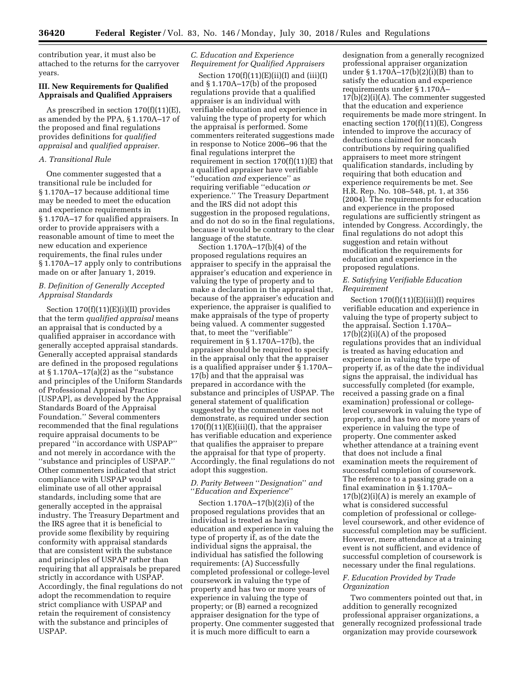contribution year, it must also be attached to the returns for the carryover years.

## **III. New Requirements for Qualified Appraisals and Qualified Appraisers**

As prescribed in section 170(f)(11)(E), as amended by the PPA, § 1.170A–17 of the proposed and final regulations provides definitions for *qualified appraisal* and *qualified appraiser.* 

### *A. Transitional Rule*

One commenter suggested that a transitional rule be included for § 1.170A–17 because additional time may be needed to meet the education and experience requirements in § 1.170A–17 for qualified appraisers. In order to provide appraisers with a reasonable amount of time to meet the new education and experience requirements, the final rules under § 1.170A–17 apply only to contributions made on or after January 1, 2019.

## *B. Definition of Generally Accepted Appraisal Standards*

Section  $170(f)(11)(E)(i)(II)$  provides that the term *qualified appraisal* means an appraisal that is conducted by a qualified appraiser in accordance with generally accepted appraisal standards. Generally accepted appraisal standards are defined in the proposed regulations at  $§ 1.170A-17(a)(2)$  as the "substance and principles of the Uniform Standards of Professional Appraisal Practice [USPAP], as developed by the Appraisal Standards Board of the Appraisal Foundation.'' Several commenters recommended that the final regulations require appraisal documents to be prepared ''in accordance with USPAP'' and not merely in accordance with the ''substance and principles of USPAP.'' Other commenters indicated that strict compliance with USPAP would eliminate use of all other appraisal standards, including some that are generally accepted in the appraisal industry. The Treasury Department and the IRS agree that it is beneficial to provide some flexibility by requiring conformity with appraisal standards that are consistent with the substance and principles of USPAP rather than requiring that all appraisals be prepared strictly in accordance with USPAP. Accordingly, the final regulations do not adopt the recommendation to require strict compliance with USPAP and retain the requirement of consistency with the substance and principles of **USPAP.** 

## *C. Education and Experience Requirement for Qualified Appraisers*

Section  $170(f)(11)(E)(ii)(I)$  and  $(iii)(I)$ and § 1.170A–17(b) of the proposed regulations provide that a qualified appraiser is an individual with verifiable education and experience in valuing the type of property for which the appraisal is performed. Some commenters reiterated suggestions made in response to Notice 2006–96 that the final regulations interpret the requirement in section  $170(f)(11)(E)$  that a qualified appraiser have verifiable ''education *and* experience'' as requiring verifiable ''education *or*  experience.'' The Treasury Department and the IRS did not adopt this suggestion in the proposed regulations, and do not do so in the final regulations, because it would be contrary to the clear language of the statute.

Section 1.170A–17(b)(4) of the proposed regulations requires an appraiser to specify in the appraisal the appraiser's education and experience in valuing the type of property and to make a declaration in the appraisal that, because of the appraiser's education and experience, the appraiser is qualified to make appraisals of the type of property being valued. A commenter suggested that, to meet the ''verifiable'' requirement in § 1.170A–17(b), the appraiser should be required to specify in the appraisal only that the appraiser is a qualified appraiser under § 1.170A– 17(b) and that the appraisal was prepared in accordance with the substance and principles of USPAP. The general statement of qualification suggested by the commenter does not demonstrate, as required under section  $170(f)(11)(E)(iii)(I)$ , that the appraiser has verifiable education and experience that qualifies the appraiser to prepare the appraisal for that type of property. Accordingly, the final regulations do not adopt this suggestion.

### *D. Parity Between* ''*Designation*'' *and*  ''*Education and Experience*''

Section 1.170A–17(b)(2)(i) of the proposed regulations provides that an individual is treated as having education and experience in valuing the type of property if, as of the date the individual signs the appraisal, the individual has satisfied the following requirements: (A) Successfully completed professional or college-level coursework in valuing the type of property and has two or more years of experience in valuing the type of property; or (B) earned a recognized appraiser designation for the type of property. One commenter suggested that it is much more difficult to earn a

designation from a generally recognized professional appraiser organization under § 1.170A–17(b)(2)(i)(B) than to satisfy the education and experience requirements under § 1.170A–  $17(b)(2)(i)(A)$ . The commenter suggested that the education and experience requirements be made more stringent. In enacting section 170(f)(11)(E), Congress intended to improve the accuracy of deductions claimed for noncash contributions by requiring qualified appraisers to meet more stringent qualification standards, including by requiring that both education and experience requirements be met. See H.R. Rep. No. 108–548, pt. 1, at 356 (2004). The requirements for education and experience in the proposed regulations are sufficiently stringent as intended by Congress. Accordingly, the final regulations do not adopt this suggestion and retain without modification the requirements for education and experience in the proposed regulations.

### *E. Satisfying Verifiable Education Requirement*

Section 170(f)(11)(E)(iii)(I) requires verifiable education and experience in valuing the type of property subject to the appraisal. Section 1.170A– 17(b)(2)(i)(A) of the proposed regulations provides that an individual is treated as having education and experience in valuing the type of property if, as of the date the individual signs the appraisal, the individual has successfully completed (for example, received a passing grade on a final examination) professional or collegelevel coursework in valuing the type of property, and has two or more years of experience in valuing the type of property. One commenter asked whether attendance at a training event that does not include a final examination meets the requirement of successful completion of coursework. The reference to a passing grade on a final examination in § 1.170A–  $17(b)(2)(i)(A)$  is merely an example of what is considered successful completion of professional or collegelevel coursework, and other evidence of successful completion may be sufficient. However, mere attendance at a training event is not sufficient, and evidence of successful completion of coursework is necessary under the final regulations.

## *F. Education Provided by Trade Organization*

Two commenters pointed out that, in addition to generally recognized professional appraiser organizations, a generally recognized professional trade organization may provide coursework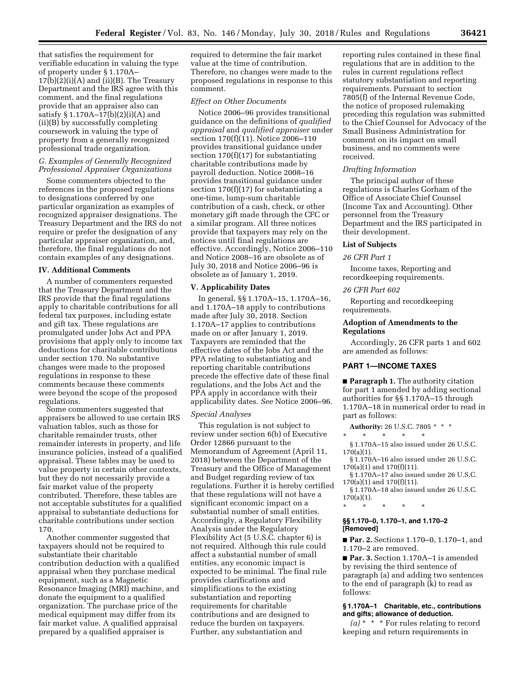that satisfies the requirement for verifiable education in valuing the type of property under § 1.170A–  $17(b)(2)(i)(A)$  and  $(ii)(B)$ . The Treasury Department and the IRS agree with this comment, and the final regulations provide that an appraiser also can satisfy § 1.170A–17(b)(2)(i)(A) and (ii)(B) by successfully completing coursework in valuing the type of property from a generally recognized professional trade organization.

### *G. Examples of Generally Recognized Professional Appraiser Organizations*

Some commenters objected to the references in the proposed regulations to designations conferred by one particular organization as examples of recognized appraiser designations. The Treasury Department and the IRS do not require or prefer the designation of any particular appraiser organization, and, therefore, the final regulations do not contain examples of any designations.

### **IV. Additional Comments**

A number of commenters requested that the Treasury Department and the IRS provide that the final regulations apply to charitable contributions for all federal tax purposes, including estate and gift tax. These regulations are promulgated under Jobs Act and PPA provisions that apply only to income tax deductions for charitable contributions under section 170. No substantive changes were made to the proposed regulations in response to these comments because these comments were beyond the scope of the proposed regulations.

Some commenters suggested that appraisers be allowed to use certain IRS valuation tables, such as those for charitable remainder trusts, other remainder interests in property, and life insurance policies, instead of a qualified appraisal. These tables may be used to value property in certain other contexts, but they do not necessarily provide a fair market value of the property contributed. Therefore, these tables are not acceptable substitutes for a qualified appraisal to substantiate deductions for charitable contributions under section 170.

Another commenter suggested that taxpayers should not be required to substantiate their charitable contribution deduction with a qualified appraisal when they purchase medical equipment, such as a Magnetic Resonance Imaging (MRI) machine, and donate the equipment to a qualified organization. The purchase price of the medical equipment may differ from its fair market value. A qualified appraisal prepared by a qualified appraiser is

required to determine the fair market value at the time of contribution. Therefore, no changes were made to the proposed regulations in response to this comment.

### *Effect on Other Documents*

Notice 2006–96 provides transitional guidance on the definitions of *qualified appraisal* and *qualified appraiser* under section 170(f)(11). Notice 2006–110 provides transitional guidance under section  $170(f)(17)$  for substantiating charitable contributions made by payroll deduction. Notice 2008–16 provides transitional guidance under section 170(f)(17) for substantiating a one-time, lump-sum charitable contribution of a cash, check, or other monetary gift made through the CFC or a similar program. All three notices provide that taxpayers may rely on the notices until final regulations are effective. Accordingly, Notice 2006–110 and Notice 2008–16 are obsolete as of July 30, 2018 and Notice 2006–96 is obsolete as of January 1, 2019.

## **V. Applicability Dates**

In general, §§ 1.170A–15, 1.170A–16, and 1.170A–18 apply to contributions made after July 30, 2018. Section 1.170A–17 applies to contributions made on or after January 1, 2019. Taxpayers are reminded that the effective dates of the Jobs Act and the PPA relating to substantiating and reporting charitable contributions precede the effective date of these final regulations, and the Jobs Act and the PPA apply in accordance with their applicability dates. *See* Notice 2006–96.

## *Special Analyses*

This regulation is not subject to review under section 6(b) of Executive Order 12866 pursuant to the Memorandum of Agreement (April 11, 2018) between the Department of the Treasury and the Office of Management and Budget regarding review of tax regulations. Further it is hereby certified that these regulations will not have a significant economic impact on a substantial number of small entities. Accordingly, a Regulatory Flexibility Analysis under the Regulatory Flexibility Act (5 U.S.C. chapter 6) is not required. Although this rule could affect a substantial number of small entities, any economic impact is expected to be minimal. The final rule provides clarifications and simplifications to the existing substantiation and reporting requirements for charitable contributions and are designed to reduce the burden on taxpayers. Further, any substantiation and

reporting rules contained in these final regulations that are in addition to the rules in current regulations reflect statutory substantiation and reporting requirements. Pursuant to section 7805(f) of the Internal Revenue Code, the notice of proposed rulemaking preceding this regulation was submitted to the Chief Counsel for Advocacy of the Small Business Administration for comment on its impact on small business, and no comments were received.

#### *Drafting Information*

The principal author of these regulations is Charles Gorham of the Office of Associate Chief Counsel (Income Tax and Accounting). Other personnel from the Treasury Department and the IRS participated in their development.

## **List of Subjects**

#### *26 CFR Part 1*

Income taxes, Reporting and recordkeeping requirements.

#### *26 CFR Part 602*

Reporting and recordkeeping requirements.

### **Adoption of Amendments to the Regulations**

Accordingly, 26 CFR parts 1 and 602 are amended as follows:

#### **PART 1—INCOME TAXES**

■ **Paragraph 1.** The authority citation for part 1 amended by adding sectional authorities for §§ 1.170A–15 through 1.170A–18 in numerical order to read in part as follows:

**Authority:** 26 U.S.C. 7805 \* \* \* \* \* \* \* \*

- § 1.170A–15 also issued under 26 U.S.C. 170(a)(1).
- § 1.170A–16 also issued under 26 U.S.C. 170(a)(1) and 170(f)(11).
- § 1.170A–17 also issued under 26 U.S.C. 170(a)(1) and 170(f)(11).
- § 1.170A–18 also issued under 26 U.S.C. 170(a)(1).

# **§§ 1.170–0, 1.170–1, and 1.170–2 [Removed]**

\* \* \* \* \*

■ **Par. 2.** Sections 1.170–0, 1.170–1, and 1.170–2 are removed.

■ **Par. 3.** Section 1.170A–1 is amended by revising the third sentence of paragraph (a) and adding two sentences to the end of paragraph (k) to read as follows:

## **§ 1.170A–1 Charitable, etc., contributions and gifts; allowance of deduction.**

*(a)* \* \* \* For rules relating to record keeping and return requirements in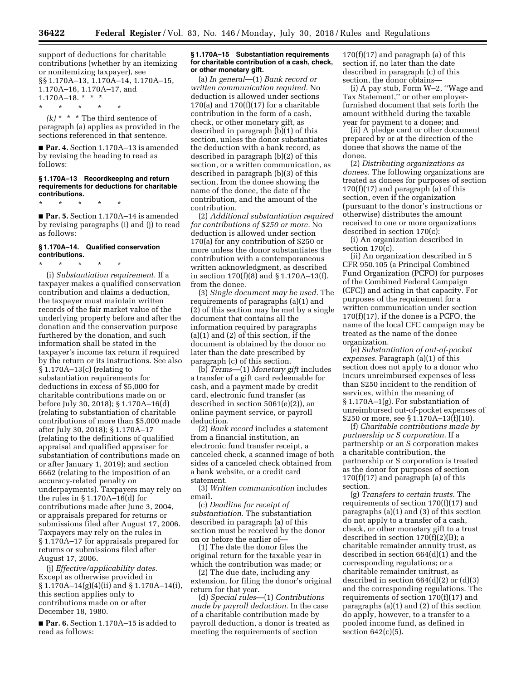support of deductions for charitable contributions (whether by an itemizing or nonitemizing taxpayer), see §§ 1.170A–13, 1.170A–14, 1.170A–15, 1.170A–16, 1.170A–17, and  $1.170A-18.$  \* \* \* \* \* \* \* \*

 $(k)$  \* \* \* The third sentence of paragraph (a) applies as provided in the sections referenced in that sentence.

■ **Par. 4.** Section 1.170A-13 is amended by revising the heading to read as follows:

#### **§ 1.170A–13 Recordkeeping and return requirements for deductions for charitable contributions.**

\* \* \* \* \*

■ **Par. 5.** Section 1.170A-14 is amended by revising paragraphs (i) and (j) to read as follows:

## **§ 1.170A–14. Qualified conservation contributions.**

\* \* \* \* \* (i) *Substantiation requirement.* If a taxpayer makes a qualified conservation contribution and claims a deduction, the taxpayer must maintain written records of the fair market value of the underlying property before and after the donation and the conservation purpose furthered by the donation, and such information shall be stated in the taxpayer's income tax return if required by the return or its instructions. See also § 1.170A–13(c) (relating to substantiation requirements for deductions in excess of \$5,000 for charitable contributions made on or before July 30, 2018); § 1.170A–16(d) (relating to substantiation of charitable contributions of more than \$5,000 made after July 30, 2018); § 1.170A–17 (relating to the definitions of qualified appraisal and qualified appraiser for substantiation of contributions made on or after January 1, 2019); and section 6662 (relating to the imposition of an accuracy-related penalty on underpayments). Taxpayers may rely on the rules in § 1.170A–16(d) for contributions made after June 3, 2004, or appraisals prepared for returns or submissions filed after August 17, 2006. Taxpayers may rely on the rules in § 1.170A–17 for appraisals prepared for returns or submissions filed after August 17, 2006.

(j) *Effective/applicability dates.*  Except as otherwise provided in § 1.170A–14(g)(4)(ii) and § 1.170A–14(i), this section applies only to contributions made on or after December 18, 1980.

■ Par. 6. Section 1.170A-15 is added to read as follows:

#### **§ 1.170A–15 Substantiation requirements for charitable contribution of a cash, check, or other monetary gift.**

(a) *In general*—(1) *Bank record or written communication required.* No deduction is allowed under sections  $170(a)$  and  $170(f)(17)$  for a charitable contribution in the form of a cash, check, or other monetary gift, as described in paragraph (b)(1) of this section, unless the donor substantiates the deduction with a bank record, as described in paragraph (b)(2) of this section, or a written communication, as described in paragraph (b)(3) of this section, from the donee showing the name of the donee, the date of the contribution, and the amount of the contribution.

(2) *Additional substantiation required for contributions of \$250 or more.* No deduction is allowed under section 170(a) for any contribution of \$250 or more unless the donor substantiates the contribution with a contemporaneous written acknowledgment, as described in section 170(f)(8) and § 1.170A–13(f), from the donee.

(3) *Single document may be used.* The requirements of paragraphs (a)(1) and (2) of this section may be met by a single document that contains all the information required by paragraphs (a)(1) and (2) of this section, if the document is obtained by the donor no later than the date prescribed by paragraph (c) of this section.

(b) *Terms*—(1) *Monetary gift* includes a transfer of a gift card redeemable for cash, and a payment made by credit card, electronic fund transfer (as described in section 5061(e)(2)), an online payment service, or payroll deduction.

(2) *Bank record* includes a statement from a financial institution, an electronic fund transfer receipt, a canceled check, a scanned image of both sides of a canceled check obtained from a bank website, or a credit card statement.

(3) *Written communication* includes email.

(c) *Deadline for receipt of substantiation.* The substantiation described in paragraph (a) of this section must be received by the donor on or before the earlier of—

(1) The date the donor files the original return for the taxable year in which the contribution was made; or

(2) The due date, including any extension, for filing the donor's original return for that year.

(d) *Special rules*—(1) *Contributions made by payroll deduction.* In the case of a charitable contribution made by payroll deduction, a donor is treated as meeting the requirements of section

 $170(f)(17)$  and paragraph (a) of this section if, no later than the date described in paragraph (c) of this section, the donor obtains—

(i) A pay stub, Form W–2, ''Wage and Tax Statement,'' or other employerfurnished document that sets forth the amount withheld during the taxable year for payment to a donee; and

(ii) A pledge card or other document prepared by or at the direction of the donee that shows the name of the donee.

(2) *Distributing organizations as donees.* The following organizations are treated as donees for purposes of section  $170(f)(17)$  and paragraph (a) of this section, even if the organization (pursuant to the donor's instructions or otherwise) distributes the amount received to one or more organizations described in section 170(c):

(i) An organization described in section 170(c).

(ii) An organization described in 5 CFR 950.105 (a Principal Combined Fund Organization (PCFO) for purposes of the Combined Federal Campaign (CFC)) and acting in that capacity. For purposes of the requirement for a written communication under section 170(f)(17), if the donee is a PCFO, the name of the local CFC campaign may be treated as the name of the donee organization.

(e) *Substantiation of out-of-pocket expenses.* Paragraph (a)(1) of this section does not apply to a donor who incurs unreimbursed expenses of less than \$250 incident to the rendition of services, within the meaning of § 1.170A–1(g). For substantiation of unreimbursed out-of-pocket expenses of \$250 or more, see § 1.170A–13(f)(10).

(f) *Charitable contributions made by partnership or S corporation.* If a partnership or an S corporation makes a charitable contribution, the partnership or S corporation is treated as the donor for purposes of section  $170(f)(17)$  and paragraph (a) of this section.

(g) *Transfers to certain trusts.* The requirements of section 170(f)(17) and paragraphs (a)(1) and (3) of this section do not apply to a transfer of a cash, check, or other monetary gift to a trust described in section 170(f)(2)(B); a charitable remainder annuity trust, as described in section 664(d)(1) and the corresponding regulations; or a charitable remainder unitrust, as described in section  $664(d)(2)$  or  $(d)(3)$ and the corresponding regulations. The requirements of section 170(f)(17) and paragraphs (a)(1) and (2) of this section do apply, however, to a transfer to a pooled income fund, as defined in section 642(c)(5).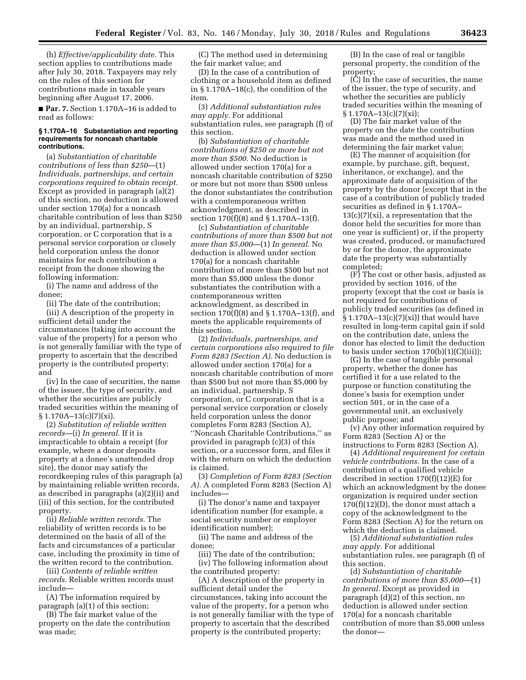(h) *Effective/applicability date.* This section applies to contributions made after July 30, 2018. Taxpayers may rely on the rules of this section for contributions made in taxable years beginning after August 17, 2006.

■ **Par. 7.** Section 1.170A–16 is added to read as follows:

#### **§ 1.170A–16 Substantiation and reporting requirements for noncash charitable contributions.**

(a) *Substantiation of charitable contributions of less than \$250*—(1) *Individuals, partnerships, and certain corporations required to obtain receipt.*  Except as provided in paragraph (a)(2) of this section, no deduction is allowed under section 170(a) for a noncash charitable contribution of less than \$250 by an individual, partnership, S corporation, or C corporation that is a personal service corporation or closely held corporation unless the donor maintains for each contribution a receipt from the donee showing the following information:

(i) The name and address of the donee;

(ii) The date of the contribution;

(iii) A description of the property in sufficient detail under the circumstances (taking into account the value of the property) for a person who is not generally familiar with the type of property to ascertain that the described property is the contributed property; and

(iv) In the case of securities, the name of the issuer, the type of security, and whether the securities are publicly traded securities within the meaning of  $§ 1.170A-13(c)(7)(xi).$ 

(2) *Substitution of reliable written records*—(i) *In general.* If it is impracticable to obtain a receipt (for example, where a donor deposits property at a donee's unattended drop site), the donor may satisfy the recordkeeping rules of this paragraph (a) by maintaining reliable written records, as described in paragraphs (a)(2)(ii) and (iii) of this section, for the contributed property.

(ii) *Reliable written records.* The reliability of written records is to be determined on the basis of all of the facts and circumstances of a particular case, including the proximity in time of the written record to the contribution.

(iii) *Contents of reliable written records.* Reliable written records must include—

(A) The information required by paragraph (a)(1) of this section;

(B) The fair market value of the property on the date the contribution was made;

(C) The method used in determining the fair market value; and

(D) In the case of a contribution of clothing or a household item as defined in § 1.170A–18(c), the condition of the item.

(3) *Additional substantiation rules may apply.* For additional substantiation rules, see paragraph (f) of this section.

(b) *Substantiation of charitable contributions of \$250 or more but not more than \$500.* No deduction is allowed under section 170(a) for a noncash charitable contribution of \$250 or more but not more than \$500 unless the donor substantiates the contribution with a contemporaneous written acknowledgment, as described in section 170(f)(8) and § 1.170A–13(f).

(c) *Substantiation of charitable contributions of more than \$500 but not more than \$5,000*—(1) *In general.* No deduction is allowed under section 170(a) for a noncash charitable contribution of more than \$500 but not more than \$5,000 unless the donor substantiates the contribution with a contemporaneous written acknowledgment, as described in section 170(f)(8) and § 1.170A–13(f), and meets the applicable requirements of this section.

(2) *Individuals, partnerships, and certain corporations also required to file Form 8283 (Section A).* No deduction is allowed under section 170(a) for a noncash charitable contribution of more than \$500 but not more than \$5,000 by an individual, partnership, S corporation, or C corporation that is a personal service corporation or closely held corporation unless the donor completes Form 8283 (Section A), ''Noncash Charitable Contributions,'' as provided in paragraph (c)(3) of this section, or a successor form, and files it with the return on which the deduction is claimed.

(3) *Completion of Form 8283 (Section A).* A completed Form 8283 (Section A) includes—

(i) The donor's name and taxpayer identification number (for example, a social security number or employer identification number);

(ii) The name and address of the donee;

(iii) The date of the contribution; (iv) The following information about the contributed property:

(A) A description of the property in sufficient detail under the circumstances, taking into account the value of the property, for a person who is not generally familiar with the type of property to ascertain that the described property is the contributed property;

(B) In the case of real or tangible personal property, the condition of the property;

(C) In the case of securities, the name of the issuer, the type of security, and whether the securities are publicly traded securities within the meaning of  $§ 1.170A-13(c)(7)(xi);$ 

(D) The fair market value of the property on the date the contribution was made and the method used in determining the fair market value;

(E) The manner of acquisition (for example, by purchase, gift, bequest, inheritance, or exchange), and the approximate date of acquisition of the property by the donor (except that in the case of a contribution of publicly traded securities as defined in § 1.170A–  $13(c)(7)(xi)$ , a representation that the donor held the securities for more than one year is sufficient) or, if the property was created, produced, or manufactured by or for the donor, the approximate date the property was substantially completed;

(F) The cost or other basis, adjusted as provided by section 1016, of the property (except that the cost or basis is not required for contributions of publicly traded securities (as defined in § 1.170A–13(c)(7)(xi)) that would have resulted in long-term capital gain if sold on the contribution date, unless the donor has elected to limit the deduction to basis under section 170(b)(1)(C)(iii));

(G) In the case of tangible personal property, whether the donee has certified it for a use related to the purpose or function constituting the donee's basis for exemption under section 501, or in the case of a governmental unit, an exclusively public purpose; and

(v) Any other information required by Form 8283 (Section A) or the instructions to Form 8283 (Section A).

(4) *Additional requirement for certain vehicle contributions.* In the case of a contribution of a qualified vehicle described in section 170(f)(12)(E) for which an acknowledgment by the donee organization is required under section  $170(f)(12)(D)$ , the donor must attach a copy of the acknowledgment to the Form 8283 (Section A) for the return on which the deduction is claimed.

(5) *Additional substantiation rules may apply.* For additional substantiation rules, see paragraph (f) of this section.

(d) *Substantiation of charitable contributions of more than \$5,000*—(1) *In general.* Except as provided in paragraph (d)(2) of this section, no deduction is allowed under section 170(a) for a noncash charitable contribution of more than \$5,000 unless the donor—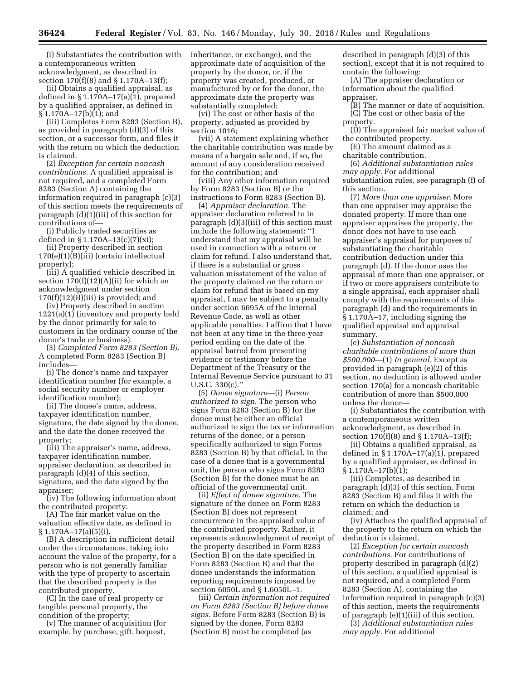(i) Substantiates the contribution with a contemporaneous written acknowledgment, as described in section 170(f)(8) and § 1.170A–13(f);

(ii) Obtains a qualified appraisal, as defined in § 1.170A–17(a)(1), prepared by a qualified appraiser, as defined in § 1.170A–17(b)(1); and

(iii) Completes Form 8283 (Section B), as provided in paragraph (d)(3) of this section, or a successor form, and files it with the return on which the deduction is claimed.

(2) *Exception for certain noncash contributions.* A qualified appraisal is not required, and a completed Form 8283 (Section A) containing the information required in paragraph (c)(3) of this section meets the requirements of paragraph (d)(1)(iii) of this section for contributions of—

(i) Publicly traded securities as defined in § 1.170A–13(c)(7)(xi);

(ii) Property described in section  $170(e)(1)\overline{(B)}$ (iii) (certain intellectual property);

(iii) A qualified vehicle described in section  $170(f)(12)(A)(ii)$  for which an acknowledgment under section  $170(f)(12)(B)(iii)$  is provided; and

(iv) Property described in section 1221(a)(1) (inventory and property held by the donor primarily for sale to customers in the ordinary course of the donor's trade or business).

(3) *Completed Form 8283 (Section B).*  A completed Form 8283 (Section B) includes—

(i) The donor's name and taxpayer identification number (for example, a social security number or employer identification number);

(ii) The donee's name, address, taxpayer identification number, signature, the date signed by the donee, and the date the donee received the property;

(iii) The appraiser's name, address, taxpayer identification number, appraiser declaration, as described in paragraph (d)(4) of this section, signature, and the date signed by the appraiser;

(iv) The following information about the contributed property:

(A) The fair market value on the valuation effective date, as defined in  $§ 1.170A - 17(a)(5)(i).$ 

(B) A description in sufficient detail under the circumstances, taking into account the value of the property, for a person who is not generally familiar with the type of property to ascertain that the described property is the contributed property.

(C) In the case of real property or tangible personal property, the condition of the property;

(v) The manner of acquisition (for example, by purchase, gift, bequest,

inheritance, or exchange), and the approximate date of acquisition of the property by the donor, or, if the property was created, produced, or manufactured by or for the donor, the approximate date the property was substantially completed;

(vi) The cost or other basis of the property, adjusted as provided by section 1016;

(vii) A statement explaining whether the charitable contribution was made by means of a bargain sale and, if so, the amount of any consideration received for the contribution; and

(viii) Any other information required by Form 8283 (Section B) or the instructions to Form 8283 (Section B).

(4) *Appraiser declaration.* The appraiser declaration referred to in paragraph (d)(3)(iii) of this section must include the following statement: ''I understand that my appraisal will be used in connection with a return or claim for refund. I also understand that, if there is a substantial or gross valuation misstatement of the value of the property claimed on the return or claim for refund that is based on my appraisal, I may be subject to a penalty under section 6695A of the Internal Revenue Code, as well as other applicable penalties. I affirm that I have not been at any time in the three-year period ending on the date of the appraisal barred from presenting evidence or testimony before the Department of the Treasury or the Internal Revenue Service pursuant to 31 U.S.C. 330(c).''

(5) *Donee signature*—(i) *Person authorized to sign.* The person who signs Form 8283 (Section B) for the donee must be either an official authorized to sign the tax or information returns of the donee, or a person specifically authorized to sign Forms 8283 (Section B) by that official. In the case of a donee that is a governmental unit, the person who signs Form 8283 (Section B) for the donee must be an official of the governmental unit.

(ii) *Effect of donee signature.* The signature of the donee on Form 8283 (Section B) does not represent concurrence in the appraised value of the contributed property. Rather, it represents acknowledgment of receipt of the property described in Form 8283 (Section B) on the date specified in Form 8283 (Section B) and that the donee understands the information reporting requirements imposed by section 6050L and § 1.6050L–1.

(iii) *Certain information not required on Form 8283 (Section B) before donee signs.* Before Form 8283 (Section B) is signed by the donee, Form 8283 (Section B) must be completed (as

described in paragraph (d)(3) of this section), except that it is not required to contain the following:

(A) The appraiser declaration or information about the qualified appraiser.

(B) The manner or date of acquisition. (C) The cost or other basis of the

property. (D) The appraised fair market value of

the contributed property. (E) The amount claimed as a charitable contribution.

(6) *Additional substantiation rules* 

*may apply.* For additional

substantiation rules, see paragraph (f) of this section.

(7) *More than one appraiser.* More than one appraiser may appraise the donated property. If more than one appraiser appraises the property, the donor does not have to use each appraiser's appraisal for purposes of substantiating the charitable contribution deduction under this paragraph (d). If the donor uses the appraisal of more than one appraiser, or if two or more appraisers contribute to a single appraisal, each appraiser shall comply with the requirements of this paragraph (d) and the requirements in § 1.170A–17, including signing the qualified appraisal and appraisal summary.

(e) *Substantiation of noncash charitable contributions of more than \$500,000*—(1) *In general.* Except as provided in paragraph (e)(2) of this section, no deduction is allowed under section 170(a) for a noncash charitable contribution of more than \$500,000 unless the donor—

(i) Substantiates the contribution with a contemporaneous written acknowledgment, as described in section 170(f)(8) and § 1.170A–13(f);

(ii) Obtains a qualified appraisal, as defined in § 1.170A–17(a)(1), prepared by a qualified appraiser, as defined in § 1.170A–17(b)(1);

(iii) Completes, as described in paragraph (d)(3) of this section, Form 8283 (Section B) and files it with the return on which the deduction is claimed; and

(iv) Attaches the qualified appraisal of the property to the return on which the deduction is claimed.

(2) *Exception for certain noncash contributions.* For contributions of property described in paragraph (d)(2) of this section, a qualified appraisal is not required, and a completed Form 8283 (Section A), containing the information required in paragraph (c)(3) of this section, meets the requirements of paragraph (e)(1)(iii) of this section.

(3) *Additional substantiation rules may apply.* For additional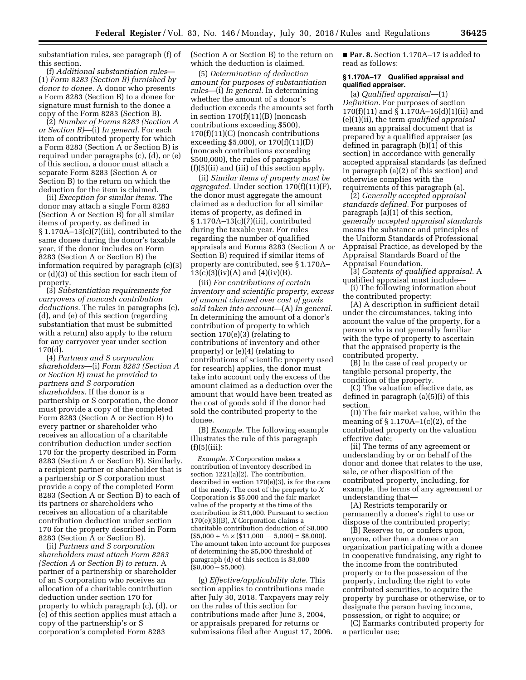substantiation rules, see paragraph (f) of this section.

(f) *Additional substantiation rules*— (1) *Form 8283 (Section B) furnished by donor to donee.* A donor who presents a Form 8283 (Section B) to a donee for signature must furnish to the donee a copy of the Form 8283 (Section B).

(2) *Number of Forms 8283 (Section A or Section B)*—(i) *In general.* For each item of contributed property for which a Form 8283 (Section A or Section B) is required under paragraphs (c), (d), or (e) of this section, a donor must attach a separate Form 8283 (Section A or Section B) to the return on which the deduction for the item is claimed.

(ii) *Exception for similar items.* The donor may attach a single Form 8283 (Section A or Section B) for all similar items of property, as defined in § 1.170A–13(c)(7)(iii), contributed to the same donee during the donor's taxable year, if the donor includes on Form 8283 (Section A or Section B) the information required by paragraph (c)(3) or (d)(3) of this section for each item of property.

(3) *Substantiation requirements for carryovers of noncash contribution deductions.* The rules in paragraphs (c), (d), and (e) of this section (regarding substantiation that must be submitted with a return) also apply to the return for any carryover year under section 170(d).

(4) *Partners and S corporation shareholders*—(i) *Form 8283 (Section A or Section B) must be provided to partners and S corporation shareholders.* If the donor is a partnership or S corporation, the donor must provide a copy of the completed Form 8283 (Section A or Section B) to every partner or shareholder who receives an allocation of a charitable contribution deduction under section 170 for the property described in Form 8283 (Section A or Section B). Similarly, a recipient partner or shareholder that is a partnership or S corporation must provide a copy of the completed Form 8283 (Section A or Section B) to each of its partners or shareholders who receives an allocation of a charitable contribution deduction under section 170 for the property described in Form 8283 (Section A or Section B).

(ii) *Partners and S corporation shareholders must attach Form 8283 (Section A or Section B) to return.* A partner of a partnership or shareholder of an S corporation who receives an allocation of a charitable contribution deduction under section 170 for property to which paragraph (c), (d), or (e) of this section applies must attach a copy of the partnership's or S corporation's completed Form 8283

(Section A or Section B) to the return on which the deduction is claimed.

(5) *Determination of deduction amount for purposes of substantiation rules*—(i) *In general.* In determining whether the amount of a donor's deduction exceeds the amounts set forth in section 170(f)(11)(B) (noncash contributions exceeding \$500), 170(f)(11)(C) (noncash contributions exceeding \$5,000), or 170(f)(11)(D) (noncash contributions exceeding \$500,000), the rules of paragraphs (f)(5)(ii) and (iii) of this section apply.

(ii) *Similar items of property must be aggregated.* Under section 170(f)(11)(F), the donor must aggregate the amount claimed as a deduction for all similar items of property, as defined in § 1.170A–13(c)(7)(iii), contributed during the taxable year. For rules regarding the number of qualified appraisals and Forms 8283 (Section A or Section B) required if similar items of property are contributed, see § 1.170A–  $13(c)(3)(iv)(A)$  and  $(4)(iv)(B)$ .

(iii) *For contributions of certain inventory and scientific property, excess of amount claimed over cost of goods sold taken into account*—(A) *In general.*  In determining the amount of a donor's contribution of property to which section 170(e)(3) (relating to contributions of inventory and other property) or (e)(4) (relating to contributions of scientific property used for research) applies, the donor must take into account only the excess of the amount claimed as a deduction over the amount that would have been treated as the cost of goods sold if the donor had sold the contributed property to the donee.

(B) *Example.* The following example illustrates the rule of this paragraph  $(f)(5)(iii)$ :

*Example. X* Corporation makes a contribution of inventory described in section 1221(a)(2). The contribution, described in section 170(e)(3), is for the care of the needy. The cost of the property to *X*  Corporation is \$5,000 and the fair market value of the property at the time of the contribution is \$11,000. Pursuant to section 170(e)(3)(B), *X* Corporation claims a charitable contribution deduction of \$8,000  $($5,000 + \frac{1}{2} \times ($11,000 - 5,000) = $8,000).$ The amount taken into account for purposes of determining the \$5,000 threshold of paragraph (d) of this section is \$3,000  $($ \$8,000 $-$ \$5,000).

(g) *Effective/applicability date.* This section applies to contributions made after July 30, 2018. Taxpayers may rely on the rules of this section for contributions made after June 3, 2004, or appraisals prepared for returns or submissions filed after August 17, 2006. ■ **Par. 8.** Section 1.170A–17 is added to read as follows:

### **§ 1.170A–17 Qualified appraisal and qualified appraiser.**

(a) *Qualified appraisal*—(1) *Definition.* For purposes of section 170(f)(11) and § 1.170A–16(d)(1)(ii) and (e)(1)(ii), the term *qualified appraisal*  means an appraisal document that is prepared by a qualified appraiser (as defined in paragraph (b)(1) of this section) in accordance with generally accepted appraisal standards (as defined in paragraph (a)(2) of this section) and otherwise complies with the requirements of this paragraph (a).

(2) *Generally accepted appraisal standards defined.* For purposes of paragraph (a)(1) of this section, *generally accepted appraisal standards*  means the substance and principles of the Uniform Standards of Professional Appraisal Practice, as developed by the Appraisal Standards Board of the Appraisal Foundation.

(3) *Contents of qualified appraisal.* A qualified appraisal must include—

(i) The following information about the contributed property:

(A) A description in sufficient detail under the circumstances, taking into account the value of the property, for a person who is not generally familiar with the type of property to ascertain that the appraised property is the contributed property.

(B) In the case of real property or tangible personal property, the condition of the property.

(C) The valuation effective date, as defined in paragraph (a)(5)(i) of this section.

(D) The fair market value, within the meaning of  $\S 1.170A-1(c)(2)$ , of the contributed property on the valuation effective date;

(ii) The terms of any agreement or understanding by or on behalf of the donor and donee that relates to the use, sale, or other disposition of the contributed property, including, for example, the terms of any agreement or understanding that—

(A) Restricts temporarily or permanently a donee's right to use or dispose of the contributed property;

(B) Reserves to, or confers upon, anyone, other than a donee or an organization participating with a donee in cooperative fundraising, any right to the income from the contributed property or to the possession of the property, including the right to vote contributed securities, to acquire the property by purchase or otherwise, or to designate the person having income, possession, or right to acquire; or (C) Earmarks contributed property for

a particular use;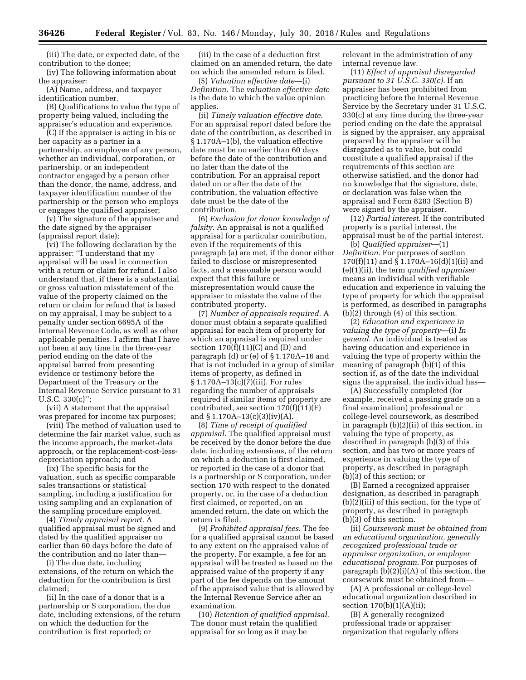(iii) The date, or expected date, of the contribution to the donee;

(iv) The following information about the appraiser:

(A) Name, address, and taxpayer identification number.

(B) Qualifications to value the type of property being valued, including the appraiser's education and experience.

(C) If the appraiser is acting in his or her capacity as a partner in a partnership, an employee of any person, whether an individual, corporation, or partnership, or an independent contractor engaged by a person other than the donor, the name, address, and taxpayer identification number of the partnership or the person who employs or engages the qualified appraiser;

(v) The signature of the appraiser and the date signed by the appraiser (appraisal report date);

(vi) The following declaration by the appraiser: ''I understand that my appraisal will be used in connection with a return or claim for refund. I also understand that, if there is a substantial or gross valuation misstatement of the value of the property claimed on the return or claim for refund that is based on my appraisal, I may be subject to a penalty under section 6695A of the Internal Revenue Code, as well as other applicable penalties. I affirm that I have not been at any time in the three-year period ending on the date of the appraisal barred from presenting evidence or testimony before the Department of the Treasury or the Internal Revenue Service pursuant to 31 U.S.C. 330(c)'';

(vii) A statement that the appraisal was prepared for income tax purposes;

(viii) The method of valuation used to determine the fair market value, such as the income approach, the market-data approach, or the replacement-cost-lessdepreciation approach; and

(ix) The specific basis for the valuation, such as specific comparable sales transactions or statistical sampling, including a justification for using sampling and an explanation of the sampling procedure employed.

(4) *Timely appraisal report.* A qualified appraisal must be signed and dated by the qualified appraiser no earlier than 60 days before the date of the contribution and no later than—

(i) The due date, including extensions, of the return on which the deduction for the contribution is first claimed;

(ii) In the case of a donor that is a partnership or S corporation, the due date, including extensions, of the return on which the deduction for the contribution is first reported; or

(iii) In the case of a deduction first claimed on an amended return, the date on which the amended return is filed.

(5) *Valuation effective date*—(i) *Definition.* The *valuation effective date*  is the date to which the value opinion applies.

(ii) *Timely valuation effective date.*  For an appraisal report dated before the date of the contribution, as described in § 1.170A–1(b), the valuation effective date must be no earlier than 60 days before the date of the contribution and no later than the date of the contribution. For an appraisal report dated on or after the date of the contribution, the valuation effective date must be the date of the contribution.

(6) *Exclusion for donor knowledge of falsity.* An appraisal is not a qualified appraisal for a particular contribution, even if the requirements of this paragraph (a) are met, if the donor either failed to disclose or misrepresented facts, and a reasonable person would expect that this failure or misrepresentation would cause the appraiser to misstate the value of the contributed property.

(7) *Number of appraisals required.* A donor must obtain a separate qualified appraisal for each item of property for which an appraisal is required under section  $170(f)(11)(C)$  and  $(D)$  and paragraph (d) or (e) of § 1.170A–16 and that is not included in a group of similar items of property, as defined in § 1.170A–13(c)(7)(iii). For rules regarding the number of appraisals required if similar items of property are contributed, see section 170(f)(11)(F) and § 1.170A–13(c)(3)(iv)(A).

(8) *Time of receipt of qualified appraisal.* The qualified appraisal must be received by the donor before the due date, including extensions, of the return on which a deduction is first claimed, or reported in the case of a donor that is a partnership or S corporation, under section 170 with respect to the donated property, or, in the case of a deduction first claimed, or reported, on an amended return, the date on which the return is filed.

(9) *Prohibited appraisal fees.* The fee for a qualified appraisal cannot be based to any extent on the appraised value of the property. For example, a fee for an appraisal will be treated as based on the appraised value of the property if any part of the fee depends on the amount of the appraised value that is allowed by the Internal Revenue Service after an examination.

(10) *Retention of qualified appraisal.*  The donor must retain the qualified appraisal for so long as it may be

relevant in the administration of any internal revenue law.

(11) *Effect of appraisal disregarded pursuant to 31 U.S.C. 330(c).* If an appraiser has been prohibited from practicing before the Internal Revenue Service by the Secretary under 31 U.S.C. 330(c) at any time during the three-year period ending on the date the appraisal is signed by the appraiser, any appraisal prepared by the appraiser will be disregarded as to value, but could constitute a qualified appraisal if the requirements of this section are otherwise satisfied, and the donor had no knowledge that the signature, date, or declaration was false when the appraisal and Form 8283 (Section B) were signed by the appraiser.

(12) *Partial interest.* If the contributed property is a partial interest, the appraisal must be of the partial interest.

(b) *Qualified appraiser*—(1) *Definition.* For purposes of section 170(f)(11) and § 1.170A–16(d)(1)(ii) and (e)(1)(ii), the term *qualified appraiser*  means an individual with verifiable education and experience in valuing the type of property for which the appraisal is performed, as described in paragraphs (b)(2) through (4) of this section.

(2) *Education and experience in valuing the type of property*—(i) *In general.* An individual is treated as having education and experience in valuing the type of property within the meaning of paragraph (b)(1) of this section if, as of the date the individual signs the appraisal, the individual has—

(A) Successfully completed (for example, received a passing grade on a final examination) professional or college-level coursework, as described in paragraph (b)(2)(ii) of this section, in valuing the type of property, as described in paragraph (b)(3) of this section, and has two or more years of experience in valuing the type of property, as described in paragraph (b)(3) of this section; or

(B) Earned a recognized appraiser designation, as described in paragraph (b)(2)(iii) of this section, for the type of property, as described in paragraph (b)(3) of this section.

(ii) *Coursework must be obtained from an educational organization, generally recognized professional trade or appraiser organization, or employer educational program.* For purposes of paragraph  $(b)(2)(i)(A)$  of this section, the coursework must be obtained from—

(A) A professional or college-level educational organization described in section 170(b)(1)(A)(ii);

(B) A generally recognized professional trade or appraiser organization that regularly offers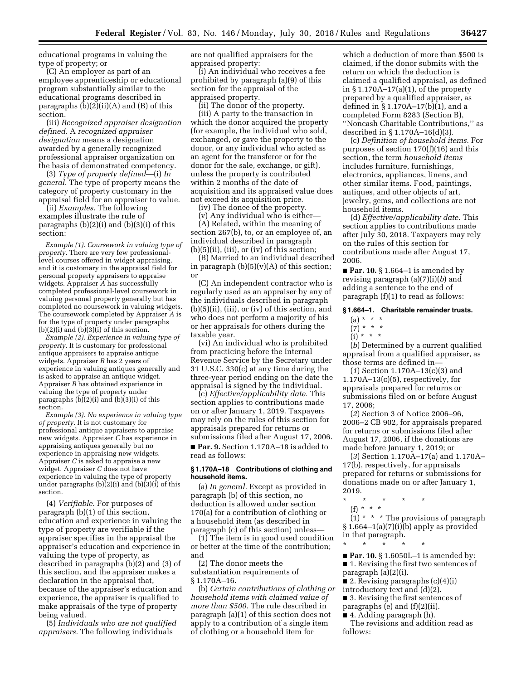educational programs in valuing the type of property; or

(C) An employer as part of an employee apprenticeship or educational program substantially similar to the educational programs described in paragraphs  $(b)(2)(ii)(A)$  and  $(B)$  of this section.

(iii) *Recognized appraiser designation defined.* A *recognized appraiser designation* means a designation awarded by a generally recognized professional appraiser organization on the basis of demonstrated competency.

(3) *Type of property defined*—(i) *In general.* The type of property means the category of property customary in the appraisal field for an appraiser to value.

(ii) *Examples.* The following examples illustrate the rule of paragraphs (b)(2)(i) and (b)(3)(i) of this section:

*Example (1). Coursework in valuing type of property.* There are very few professionallevel courses offered in widget appraising, and it is customary in the appraisal field for personal property appraisers to appraise widgets. Appraiser *A* has successfully completed professional-level coursework in valuing personal property generally but has completed no coursework in valuing widgets. The coursework completed by Appraiser *A* is for the type of property under paragraphs  $(b)(2)(i)$  and  $(b)(3)(i)$  of this section.

*Example (2). Experience in valuing type of property.* It is customary for professional antique appraisers to appraise antique widgets. Appraiser *B* has 2 years of experience in valuing antiques generally and is asked to appraise an antique widget. Appraiser *B* has obtained experience in valuing the type of property under paragraphs (b)(2)(i) and (b)(3)(i) of this section.

*Example (3). No experience in valuing type of property.* It is not customary for professional antique appraisers to appraise new widgets. Appraiser *C* has experience in appraising antiques generally but no experience in appraising new widgets. Appraiser *C* is asked to appraise a new widget. Appraiser *C* does not have experience in valuing the type of property under paragraphs (b)(2)(i) and (b)(3)(i) of this section.

(4) *Verifiable.* For purposes of paragraph (b)(1) of this section, education and experience in valuing the type of property are verifiable if the appraiser specifies in the appraisal the appraiser's education and experience in valuing the type of property, as described in paragraphs (b)(2) and (3) of this section, and the appraiser makes a declaration in the appraisal that, because of the appraiser's education and experience, the appraiser is qualified to make appraisals of the type of property being valued.

(5) *Individuals who are not qualified appraisers.* The following individuals

are not qualified appraisers for the appraised property:

(i) An individual who receives a fee prohibited by paragraph (a)(9) of this section for the appraisal of the appraised property.

(ii) The donor of the property.

(iii) A party to the transaction in which the donor acquired the property (for example, the individual who sold, exchanged, or gave the property to the donor, or any individual who acted as an agent for the transferor or for the donor for the sale, exchange, or gift), unless the property is contributed within 2 months of the date of acquisition and its appraised value does not exceed its acquisition price.

(iv) The donee of the property.

(v) Any individual who is either— (A) Related, within the meaning of section 267(b), to, or an employee of, an individual described in paragraph  $(b)(5)(ii)$ ,  $(iii)$ , or  $(iv)$  of this section;

(B) Married to an individual described in paragraph  $(b)(5)(v)(A)$  of this section; or

(C) An independent contractor who is regularly used as an appraiser by any of the individuals described in paragraph (b)(5)(ii), (iii), or (iv) of this section, and who does not perform a majority of his or her appraisals for others during the taxable year.

(vi) An individual who is prohibited from practicing before the Internal Revenue Service by the Secretary under 31 U.S.C. 330(c) at any time during the three-year period ending on the date the appraisal is signed by the individual.

(c) *Effective/applicability date.* This section applies to contributions made on or after January 1, 2019. Taxpayers may rely on the rules of this section for appraisals prepared for returns or submissions filed after August 17, 2006. ■ **Par. 9.** Section 1.170A–18 is added to

## **§ 1.170A–18 Contributions of clothing and household items.**

read as follows:

(a) *In general.* Except as provided in paragraph (b) of this section, no deduction is allowed under section 170(a) for a contribution of clothing or a household item (as described in paragraph (c) of this section) unless—

(1) The item is in good used condition or better at the time of the contribution; and

(2) The donor meets the substantiation requirements of § 1.170A–16.

(b) *Certain contributions of clothing or household items with claimed value of more than \$500.* The rule described in paragraph (a)(1) of this section does not apply to a contribution of a single item of clothing or a household item for

which a deduction of more than \$500 is claimed, if the donor submits with the return on which the deduction is claimed a qualified appraisal, as defined in § 1.170A–17(a)(1), of the property prepared by a qualified appraiser, as defined in § 1.170A–17(b)(1), and a completed Form 8283 (Section B), ''Noncash Charitable Contributions,'' as described in § 1.170A–16(d)(3).

(c) *Definition of household items.* For purposes of section 170(f)(16) and this section, the term *household items*  includes furniture, furnishings, electronics, appliances, linens, and other similar items. Food, paintings, antiques, and other objects of art, jewelry, gems, and collections are not household items.

(d) *Effective/applicability date.* This section applies to contributions made after July 30, 2018. Taxpayers may rely on the rules of this section for contributions made after August 17, 2006.

■ **Par. 10.** § 1.664–1 is amended by revising paragraph (a)(7)(i)(*b*) and adding a sentence to the end of paragraph (f)(1) to read as follows:

### **§ 1.664–1. Charitable remainder trusts.**

 $(a) * * * *$ 

 $(7) * * * *$ 

 $(i)$  \* \* \*

(*b*) Determined by a current qualified appraisal from a qualified appraiser, as those terms are defined in—

(*1*) Section 1.170A–13(c)(3) and  $1.170A-13(c)(5)$ , respectively, for appraisals prepared for returns or submissions filed on or before August 17, 2006;

(*2*) Section 3 of Notice 2006–96, 2006–2 CB 902, for appraisals prepared for returns or submissions filed after August 17, 2006, if the donations are made before January 1, 2019; or

(*3*) Section 1.170A–17(a) and 1.170A– 17(b), respectively, for appraisals prepared for returns or submissions for donations made on or after January 1, 2019.

- \* \* \* \* \*
	- (f) *\* \* \**

 $(1)$  \* \* \* The provisions of paragraph § 1.664–1(a)(7)(i)(b) apply as provided in that paragraph.

\* \* \* \* \* ■ **Par. 10.** § 1.6050L–1 is amended by: ■ 1. Revising the first two sentences of paragraph (a)(2)(i).

- 2. Revising paragraphs (c)(4)(i)
- introductory text and (d)(2).
- 3. Revising the first sentences of

paragraphs (e) and (f)(2)(ii).

■ 4. Adding paragraph (h).

The revisions and addition read as follows: